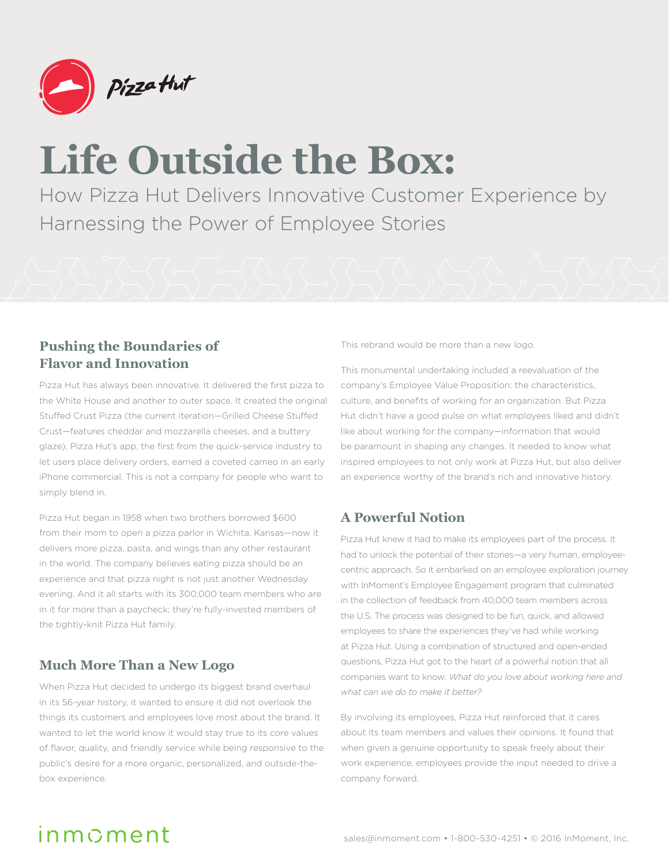

# **Life Outside the Box:**

How Pizza Hut Delivers Innovative Customer Experience by Harnessing the Power of Employee Stories

### **Pushing the Boundaries of Flavor and Innovation**

Pizza Hut has always been innovative. It delivered the first pizza to the White House and another to outer space. It created the original Stuffed Crust Pizza (the current iteration—Grilled Cheese Stuffed Crust—features cheddar and mozzarella cheeses, and a buttery glaze). Pizza Hut's app, the first from the quick-service industry to let users place delivery orders, earned a coveted cameo in an early iPhone commercial. This is not a company for people who want to simply blend in.

Pizza Hut began in 1958 when two brothers borrowed \$600 from their mom to open a pizza parlor in Wichita, Kansas—now it delivers more pizza, pasta, and wings than any other restaurant in the world. The company believes eating pizza should be an experience and that pizza night is not just another Wednesday evening. And it all starts with its 300,000 team members who are in it for more than a paycheck; they're fully-invested members of the tightly-knit Pizza Hut family.

### **Much More Than a New Logo**

When Pizza Hut decided to undergo its biggest brand overhaul in its 56-year history, it wanted to ensure it did not overlook the things its customers and employees love most about the brand. It wanted to let the world know it would stay true to its core values of flavor, quality, and friendly service while being responsive to the public's desire for a more organic, personalized, and outside-thebox experience.

This rebrand would be more than a new logo.

This monumental undertaking included a reevaluation of the company's Employee Value Proposition: the characteristics, culture, and benefits of working for an organization. But Pizza Hut didn't have a good pulse on what employees liked and didn't like about working for the company—information that would be paramount in shaping any changes. It needed to know what inspired employees to not only work at Pizza Hut, but also deliver an experience worthy of the brand's rich and innovative history.

### **A Powerful Notion**

Pizza Hut knew it had to make its employees part of the process. It had to unlock the potential of their stories—a very human, employeecentric approach. So it embarked on an employee exploration journey with InMoment's Employee Engagement program that culminated in the collection of feedback from 40,000 team members across the U.S. The process was designed to be fun, quick, and allowed employees to share the experiences they've had while working at Pizza Hut. Using a combination of structured and open-ended questions, Pizza Hut got to the heart of a powerful notion that all companies want to know: *What do you love about working here and what can we do to make it better?*

By involving its employees, Pizza Hut reinforced that it cares about its team members and values their opinions. It found that when given a genuine opportunity to speak freely about their work experience, employees provide the input needed to drive a company forward.

## $in m$ cment